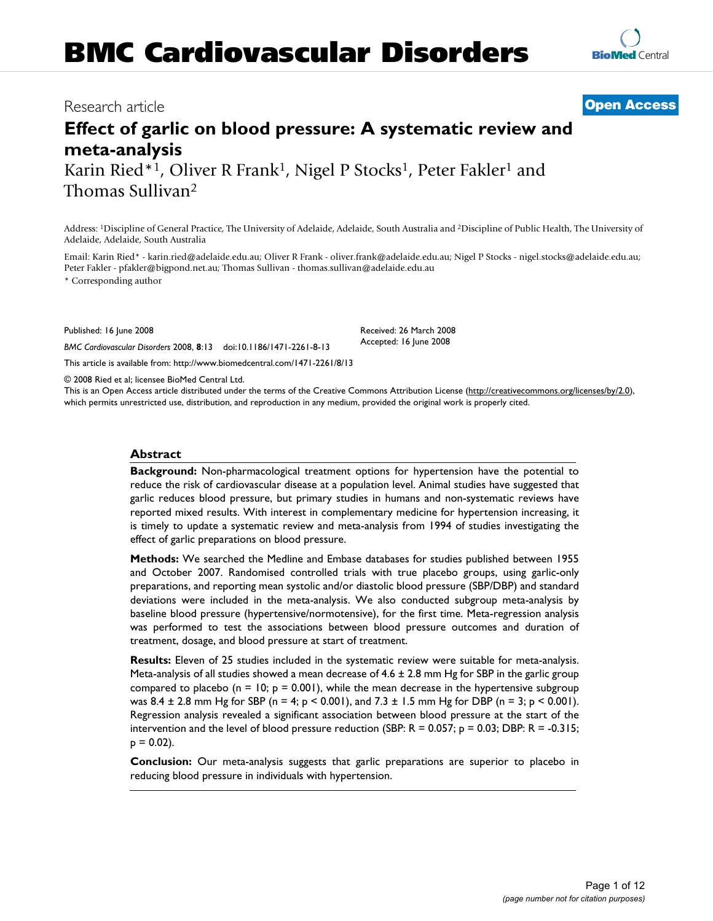# **BMC Cardiovascular Disorders**

# **Effect of garlic on blood pressure: A systematic review and meta-analysis** Karin Ried\*<sup>1</sup>, Oliver R Frank<sup>1</sup>, Nigel P Stocks<sup>1</sup>, Peter Fakler<sup>1</sup> and Thomas Sullivan2

Address: 1Discipline of General Practice, The University of Adelaide, Adelaide, South Australia and 2Discipline of Public Health, The University of Adelaide, Adelaide, South Australia

Email: Karin Ried\* - karin.ried@adelaide.edu.au; Oliver R Frank - oliver.frank@adelaide.edu.au; Nigel P Stocks - nigel.stocks@adelaide.edu.au; Peter Fakler - pfakler@bigpond.net.au; Thomas Sullivan - thomas.sullivan@adelaide.edu.au

> Received: 26 March 2008 Accepted: 16 June 2008

\* Corresponding author

Published: 16 June 2008

*BMC Cardiovascular Disorders* 2008, **8**:13 doi:10.1186/1471-2261-8-13

[This article is available from: http://www.biomedcentral.com/1471-2261/8/13](http://www.biomedcentral.com/1471-2261/8/13)

© 2008 Ried et al; licensee BioMed Central Ltd.

This is an Open Access article distributed under the terms of the Creative Commons Attribution License [\(http://creativecommons.org/licenses/by/2.0\)](http://creativecommons.org/licenses/by/2.0), which permits unrestricted use, distribution, and reproduction in any medium, provided the original work is properly cited.

# **Abstract**

**Background:** Non-pharmacological treatment options for hypertension have the potential to reduce the risk of cardiovascular disease at a population level. Animal studies have suggested that garlic reduces blood pressure, but primary studies in humans and non-systematic reviews have reported mixed results. With interest in complementary medicine for hypertension increasing, it is timely to update a systematic review and meta-analysis from 1994 of studies investigating the effect of garlic preparations on blood pressure.

**Methods:** We searched the Medline and Embase databases for studies published between 1955 and October 2007. Randomised controlled trials with true placebo groups, using garlic-only preparations, and reporting mean systolic and/or diastolic blood pressure (SBP/DBP) and standard deviations were included in the meta-analysis. We also conducted subgroup meta-analysis by baseline blood pressure (hypertensive/normotensive), for the first time. Meta-regression analysis was performed to test the associations between blood pressure outcomes and duration of treatment, dosage, and blood pressure at start of treatment.

**Results:** Eleven of 25 studies included in the systematic review were suitable for meta-analysis. Meta-analysis of all studies showed a mean decrease of  $4.6 \pm 2.8$  mm Hg for SBP in the garlic group compared to placebo ( $n = 10$ ;  $p = 0.001$ ), while the mean decrease in the hypertensive subgroup was  $8.4 \pm 2.8$  mm Hg for SBP (n = 4; p < 0.001), and  $7.3 \pm 1.5$  mm Hg for DBP (n = 3; p < 0.001). Regression analysis revealed a significant association between blood pressure at the start of the intervention and the level of blood pressure reduction (SBP:  $R = 0.057$ ;  $p = 0.03$ ; DBP:  $R = -0.315$ ;  $p = 0.02$ ).

**Conclusion:** Our meta-analysis suggests that garlic preparations are superior to placebo in reducing blood pressure in individuals with hypertension.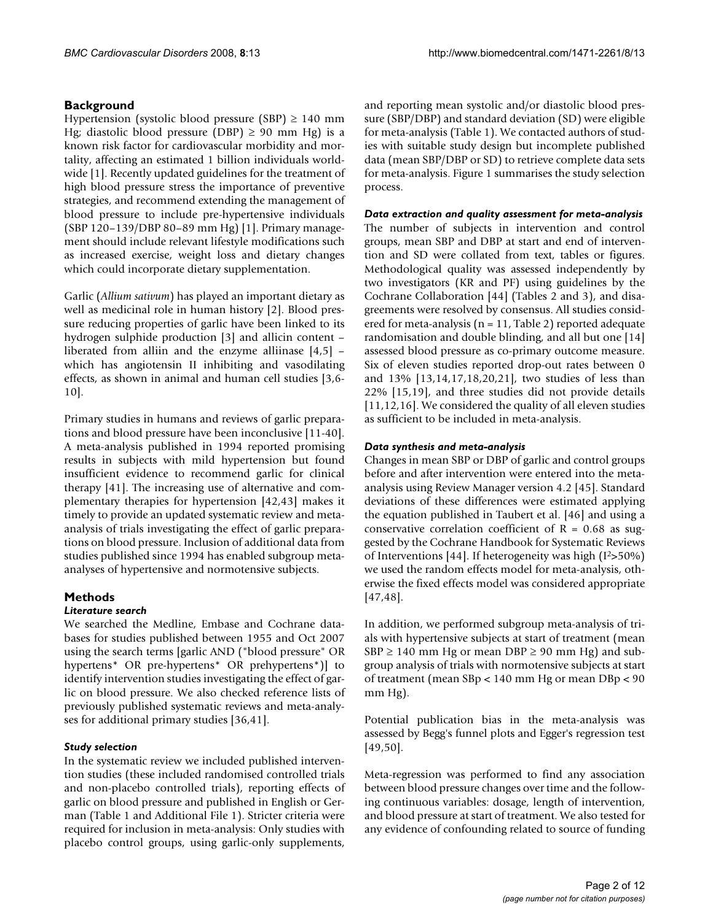# **Background**

Hypertension (systolic blood pressure (SBP)  $\geq$  140 mm Hg; diastolic blood pressure (DBP)  $\geq$  90 mm Hg) is a known risk factor for cardiovascular morbidity and mortality, affecting an estimated 1 billion individuals worldwide [1]. Recently updated guidelines for the treatment of high blood pressure stress the importance of preventive strategies, and recommend extending the management of blood pressure to include pre-hypertensive individuals (SBP 120–139/DBP 80–89 mm Hg) [1]. Primary management should include relevant lifestyle modifications such as increased exercise, weight loss and dietary changes which could incorporate dietary supplementation.

Garlic (*Allium sativum*) has played an important dietary as well as medicinal role in human history [2]. Blood pressure reducing properties of garlic have been linked to its hydrogen sulphide production [3] and allicin content – liberated from alliin and the enzyme alliinase [4,5] – which has angiotensin II inhibiting and vasodilating effects, as shown in animal and human cell studies [3,6- 10].

Primary studies in humans and reviews of garlic preparations and blood pressure have been inconclusive [11-40]. A meta-analysis published in 1994 reported promising results in subjects with mild hypertension but found insufficient evidence to recommend garlic for clinical therapy [41]. The increasing use of alternative and complementary therapies for hypertension [42,43] makes it timely to provide an updated systematic review and metaanalysis of trials investigating the effect of garlic preparations on blood pressure. Inclusion of additional data from studies published since 1994 has enabled subgroup metaanalyses of hypertensive and normotensive subjects.

# **Methods**

# *Literature search*

We searched the Medline, Embase and Cochrane databases for studies published between 1955 and Oct 2007 using the search terms [garlic AND ("blood pressure" OR hypertens\* OR pre-hypertens\* OR prehypertens\*)] to identify intervention studies investigating the effect of garlic on blood pressure. We also checked reference lists of previously published systematic reviews and meta-analyses for additional primary studies [36,41].

# *Study selection*

In the systematic review we included published intervention studies (these included randomised controlled trials and non-placebo controlled trials), reporting effects of garlic on blood pressure and published in English or German (Table 1 and Additional File 1). Stricter criteria were required for inclusion in meta-analysis: Only studies with placebo control groups, using garlic-only supplements,

and reporting mean systolic and/or diastolic blood pressure (SBP/DBP) and standard deviation (SD) were eligible for meta-analysis (Table 1). We contacted authors of studies with suitable study design but incomplete published data (mean SBP/DBP or SD) to retrieve complete data sets for meta-analysis. Figure 1 summarises the study selection process.

# *Data extraction and quality assessment for meta-analysis*

The number of subjects in intervention and control groups, mean SBP and DBP at start and end of intervention and SD were collated from text, tables or figures. Methodological quality was assessed independently by two investigators (KR and PF) using guidelines by the Cochrane Collaboration [44] (Tables 2 and 3), and disagreements were resolved by consensus. All studies considered for meta-analysis (n = 11, Table 2) reported adequate randomisation and double blinding, and all but one [14] assessed blood pressure as co-primary outcome measure. Six of eleven studies reported drop-out rates between 0 and 13% [13,14,17,18,20,21], two studies of less than 22% [15,19], and three studies did not provide details [11,12,16]. We considered the quality of all eleven studies as sufficient to be included in meta-analysis.

# *Data synthesis and meta-analysis*

Changes in mean SBP or DBP of garlic and control groups before and after intervention were entered into the metaanalysis using Review Manager version 4.2 [45]. Standard deviations of these differences were estimated applying the equation published in Taubert et al. [46] and using a conservative correlation coefficient of  $R = 0.68$  as suggested by the Cochrane Handbook for Systematic Reviews of Interventions [44]. If heterogeneity was high (I2>50%) we used the random effects model for meta-analysis, otherwise the fixed effects model was considered appropriate [47,48].

In addition, we performed subgroup meta-analysis of trials with hypertensive subjects at start of treatment (mean  $SBP \ge 140$  mm Hg or mean DBP  $\ge 90$  mm Hg) and subgroup analysis of trials with normotensive subjects at start of treatment (mean SBp < 140 mm Hg or mean DBp < 90 mm Hg).

Potential publication bias in the meta-analysis was assessed by Begg's funnel plots and Egger's regression test [49,50].

Meta-regression was performed to find any association between blood pressure changes over time and the following continuous variables: dosage, length of intervention, and blood pressure at start of treatment. We also tested for any evidence of confounding related to source of funding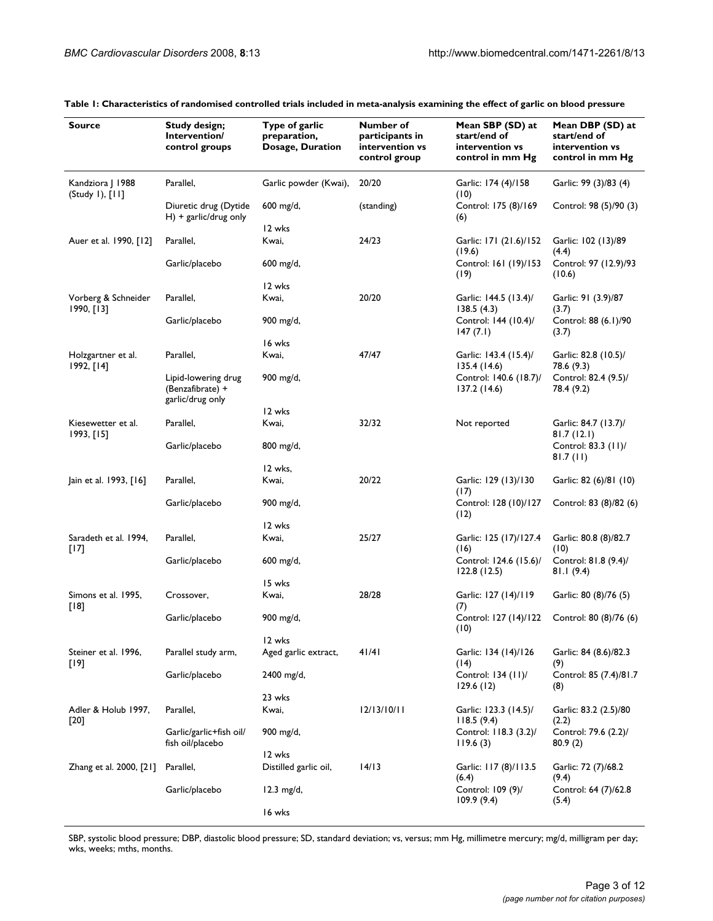| <b>Source</b>                       | Study design;<br>Intervention/<br>control groups            | Type of garlic<br>preparation,<br>Dosage, Duration | Number of<br>participants in<br>intervention vs<br>control group | Mean SBP (SD) at<br>start/end of<br>intervention vs<br>control in mm Hg | Mean DBP (SD) at<br>start/end of<br>intervention vs<br>control in mm Hg |  |
|-------------------------------------|-------------------------------------------------------------|----------------------------------------------------|------------------------------------------------------------------|-------------------------------------------------------------------------|-------------------------------------------------------------------------|--|
| Kandziora J 1988<br>(Study I), [II] | Parallel,                                                   | Garlic powder (Kwai),                              | 20/20                                                            | Garlic: 174 (4)/158<br>(10)                                             | Garlic: 99 (3)/83 (4)                                                   |  |
|                                     | Diuretic drug (Dytide<br>$H$ ) + garlic/drug only           | 600 mg/d,                                          | (standing)                                                       | Control: 175 (8)/169<br>(6)                                             | Control: 98 (5)/90 (3)                                                  |  |
|                                     |                                                             | 12 wks                                             |                                                                  |                                                                         |                                                                         |  |
| Auer et al. 1990, [12]              | Parallel,                                                   | Kwai,                                              | 24/23                                                            | Garlic: 171 (21.6)/152<br>(19.6)                                        | Garlic: 102 (13)/89<br>(4.4)                                            |  |
|                                     | Garlic/placebo                                              | $600 \; mg/d,$                                     |                                                                  | Control: 161 (19)/153<br>(19)                                           | Control: 97 (12.9)/93<br>(10.6)                                         |  |
|                                     |                                                             | 12 wks                                             |                                                                  |                                                                         |                                                                         |  |
| Vorberg & Schneider<br>1990, [13]   | Parallel,                                                   | Kwai,                                              | 20/20                                                            | Garlic: 144.5 (13.4)/<br>138.5(4.3)                                     | Garlic: 91 (3.9)/87<br>(3.7)                                            |  |
|                                     | Garlic/placebo                                              | 900 mg/d,                                          |                                                                  | Control: 144 (10.4)/<br>147(7.1)                                        | Control: 88 (6.1)/90<br>(3.7)                                           |  |
|                                     |                                                             | 16 wks                                             |                                                                  |                                                                         |                                                                         |  |
| Holzgartner et al.<br>1992, [14]    | Parallel,                                                   | Kwai,                                              | 47/47                                                            | Garlic: 143.4 (15.4)/<br>135.4 (14.6)                                   | Garlic: 82.8 (10.5)/<br>78.6 (9.3)                                      |  |
|                                     | Lipid-lowering drug<br>(Benzafibrate) +<br>garlic/drug only | 900 mg/d,                                          |                                                                  | Control: 140.6 (18.7)/<br>137.2(14.6)                                   | Control: 82.4 (9.5)/<br>78.4 (9.2)                                      |  |
|                                     |                                                             | 12 wks                                             |                                                                  |                                                                         |                                                                         |  |
| Kiesewetter et al.<br>1993, [15]    | Parallel,                                                   | Kwai,                                              | 32/32                                                            | Not reported                                                            | Garlic: 84.7 (13.7)/<br>81.7(12.1)                                      |  |
|                                     | Garlic/placebo                                              | 800 mg/d,                                          |                                                                  |                                                                         | Control: 83.3 (11)/<br>81.7(11)                                         |  |
|                                     |                                                             | 12 wks,                                            |                                                                  |                                                                         |                                                                         |  |
| Jain et al. 1993, [16]              | Parallel,                                                   | Kwai,                                              | 20/22                                                            | Garlic: 129 (13)/130<br>(17)                                            | Garlic: 82 (6)/81 (10)                                                  |  |
|                                     | Garlic/placebo                                              | 900 mg/d,                                          |                                                                  | Control: 128 (10)/127<br>(12)                                           | Control: 83 (8)/82 (6)                                                  |  |
|                                     |                                                             | 12 wks                                             |                                                                  |                                                                         |                                                                         |  |
| Saradeth et al. 1994,<br>$[17]$     | Parallel,                                                   | Kwai,                                              | 25/27                                                            | Garlic: 125 (17)/127.4<br>(16)                                          | Garlic: 80.8 (8)/82.7<br>(10)                                           |  |
|                                     | Garlic/placebo                                              | 600 mg/d,                                          |                                                                  | Control: 124.6 (15.6)/<br>122.8(12.5)                                   | Control: 81.8 (9.4)/<br>81.1 (9.4)                                      |  |
|                                     |                                                             | 15 wks                                             |                                                                  |                                                                         |                                                                         |  |
| Simons et al. 1995,<br>$[18]$       | Crossover,                                                  | Kwai,                                              | 28/28                                                            | Garlic: 127 (14)/119<br>(7)                                             | Garlic: 80 (8)/76 (5)                                                   |  |
|                                     | Garlic/placebo                                              | 900 mg/d,                                          |                                                                  | Control: 127 (14)/122<br>(10)                                           | Control: 80 (8)/76 (6)                                                  |  |
|                                     |                                                             | 12 wks                                             |                                                                  |                                                                         |                                                                         |  |
| Steiner et al. 1996,<br>[19]        | Parallel study arm,                                         | Aged garlic extract,                               | 41/41                                                            | Garlic: 134 (14)/126<br>(14)                                            | Garlic: 84 (8.6)/82.3<br>(9)                                            |  |
|                                     | Garlic/placebo                                              | 2400 mg/d,                                         |                                                                  | Control: 134 (11)/<br>129.6(12)                                         | Control: 85 (7.4)/81.7<br>(8)                                           |  |
|                                     |                                                             | 23 wks                                             |                                                                  |                                                                         |                                                                         |  |
| Adler & Holub 1997,<br>[20]         | Parallel,                                                   | Kwai,                                              | 12/13/10/11                                                      | Garlic: 123.3 (14.5)/<br>118.5(9.4)                                     | Garlic: 83.2 (2.5)/80<br>(2.2)                                          |  |
|                                     | Garlic/garlic+fish oil/<br>fish oil/placebo                 | 900 mg/d,                                          |                                                                  | Control: 118.3 (3.2)/<br>119.6(3)                                       | Control: 79.6 (2.2)/<br>80.9(2)                                         |  |
|                                     |                                                             | 12 wks                                             |                                                                  |                                                                         |                                                                         |  |
| Zhang et al. 2000, [21]             | Parallel,                                                   | Distilled garlic oil,                              | 14/13                                                            | Garlic: 117 (8)/113.5<br>(6.4)                                          | Garlic: 72 (7)/68.2<br>(9.4)                                            |  |
|                                     | Garlic/placebo                                              | $12.3 \text{ mg/d}$ ,                              |                                                                  | Control: 109 (9)/<br>109.9(9.4)                                         | Control: 64 (7)/62.8<br>(5.4)                                           |  |
|                                     |                                                             | 16 wks                                             |                                                                  |                                                                         |                                                                         |  |

**Table 1: Characteristics of randomised controlled trials included in meta-analysis examining the effect of garlic on blood pressure**

SBP, systolic blood pressure; DBP, diastolic blood pressure; SD, standard deviation; vs, versus; mm Hg, millimetre mercury; mg/d, milligram per day; wks, weeks; mths, months.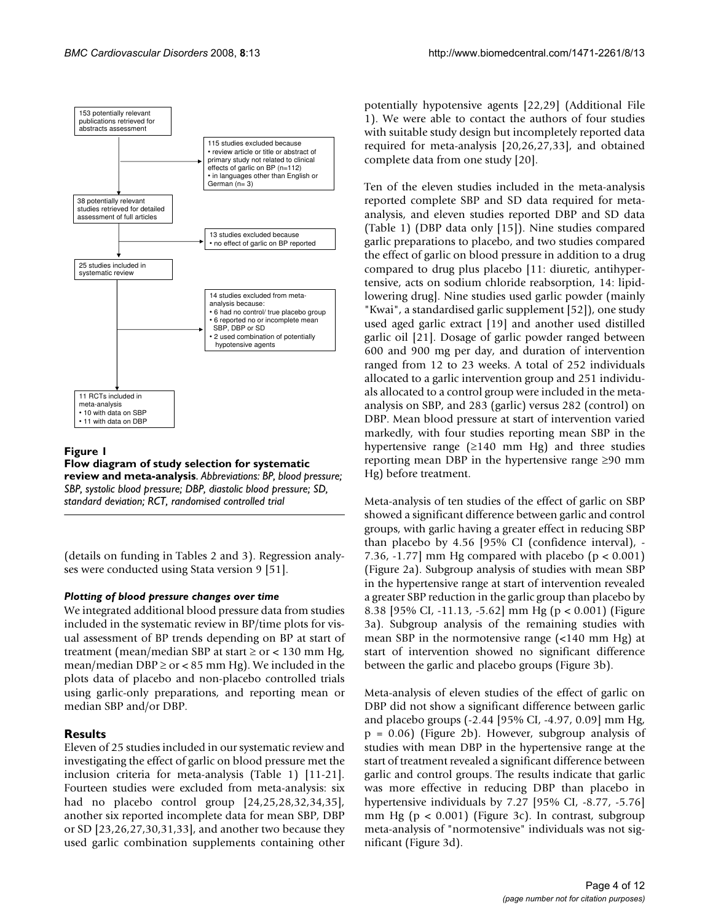

# Figure 1

**Flow diagram of study selection for systematic review and meta-analysis**. *Abbreviations: BP, blood pressure; SBP, systolic blood pressure; DBP, diastolic blood pressure; SD, standard deviation; RCT, randomised controlled trial*

(details on funding in Tables 2 and 3). Regression analyses were conducted using Stata version 9 [51].

# *Plotting of blood pressure changes over time*

We integrated additional blood pressure data from studies included in the systematic review in BP/time plots for visual assessment of BP trends depending on BP at start of treatment (mean/median SBP at start  $\geq$  or  $<$  130 mm Hg, mean/median DBP  $\geq$  or < 85 mm Hg). We included in the plots data of placebo and non-placebo controlled trials using garlic-only preparations, and reporting mean or median SBP and/or DBP.

# **Results**

Eleven of 25 studies included in our systematic review and investigating the effect of garlic on blood pressure met the inclusion criteria for meta-analysis (Table 1) [11-21]. Fourteen studies were excluded from meta-analysis: six had no placebo control group [24,25,28,32,34,35], another six reported incomplete data for mean SBP, DBP or SD [23,26,27,30,31,33], and another two because they used garlic combination supplements containing other

potentially hypotensive agents [22,29] (Additional File 1). We were able to contact the authors of four studies with suitable study design but incompletely reported data required for meta-analysis [20,26,27,33], and obtained complete data from one study [20].

Ten of the eleven studies included in the meta-analysis reported complete SBP and SD data required for metaanalysis, and eleven studies reported DBP and SD data (Table 1) (DBP data only [15]). Nine studies compared garlic preparations to placebo, and two studies compared the effect of garlic on blood pressure in addition to a drug compared to drug plus placebo [11: diuretic, antihypertensive, acts on sodium chloride reabsorption, 14: lipidlowering drug]. Nine studies used garlic powder (mainly "Kwai", a standardised garlic supplement [52]), one study used aged garlic extract [19] and another used distilled garlic oil [21]. Dosage of garlic powder ranged between 600 and 900 mg per day, and duration of intervention ranged from 12 to 23 weeks. A total of 252 individuals allocated to a garlic intervention group and 251 individuals allocated to a control group were included in the metaanalysis on SBP, and 283 (garlic) versus 282 (control) on DBP. Mean blood pressure at start of intervention varied markedly, with four studies reporting mean SBP in the hypertensive range  $(≥140$  mm Hg) and three studies reporting mean DBP in the hypertensive range ≥90 mm Hg) before treatment.

Meta-analysis of ten studies of the effect of garlic on SBP showed a significant difference between garlic and control groups, with garlic having a greater effect in reducing SBP than placebo by 4.56 [95% CI (confidence interval), - 7.36, -1.77] mm Hg compared with placebo ( $p < 0.001$ ) (Figure 2a). Subgroup analysis of studies with mean SBP in the hypertensive range at start of intervention revealed a greater SBP reduction in the garlic group than placebo by 8.38 [95% CI, -11.13, -5.62] mm Hg (p < 0.001) (Figure 3a). Subgroup analysis of the remaining studies with mean SBP in the normotensive range (<140 mm Hg) at start of intervention showed no significant difference between the garlic and placebo groups (Figure 3b).

Meta-analysis of eleven studies of the effect of garlic on DBP did not show a significant difference between garlic and placebo groups (-2.44 [95% CI, -4.97, 0.09] mm Hg, p = 0.06) (Figure 2b). However, subgroup analysis of studies with mean DBP in the hypertensive range at the start of treatment revealed a significant difference between garlic and control groups. The results indicate that garlic was more effective in reducing DBP than placebo in hypertensive individuals by 7.27 [95% CI, -8.77, -5.76] mm Hg ( $p < 0.001$ ) (Figure 3c). In contrast, subgroup meta-analysis of "normotensive" individuals was not significant (Figure 3d).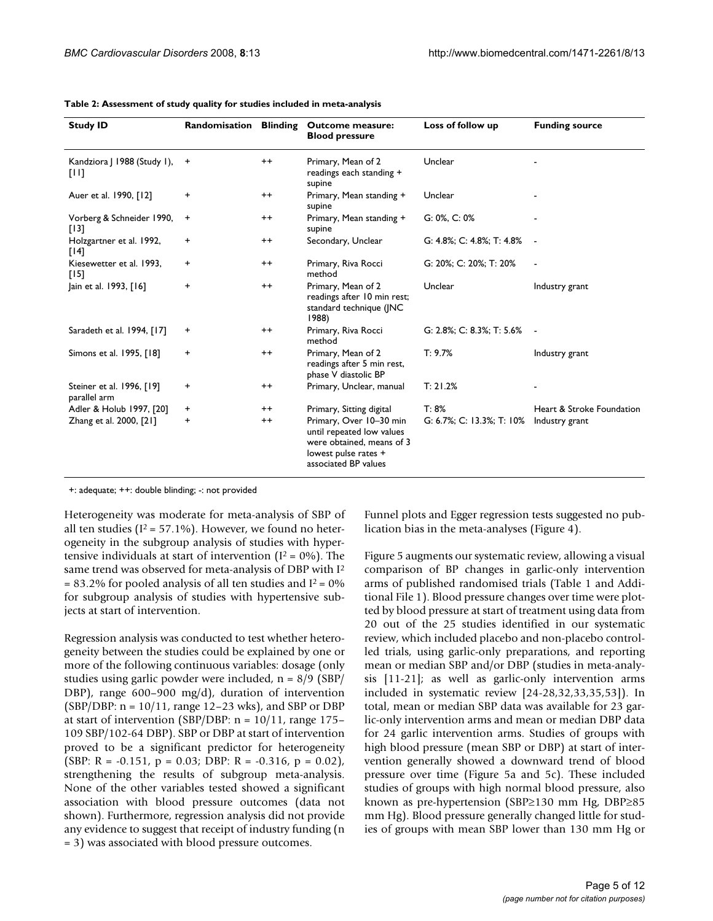| <b>Study ID</b>                           | Randomisation  | <b>Blinding</b> | <b>Outcome measure:</b><br><b>Blood pressure</b>                                                                                  | Loss of follow up         | <b>Funding source</b>     |
|-------------------------------------------|----------------|-----------------|-----------------------------------------------------------------------------------------------------------------------------------|---------------------------|---------------------------|
| Kandziora   1988 (Study 1),<br>TUI1       | $\overline{+}$ | $^{++}$         | Primary, Mean of 2<br>readings each standing +<br>supine                                                                          | Unclear                   |                           |
| Auer et al. 1990, [12]                    | $\ddot{}$      | $^{++}$         | Primary, Mean standing +<br>supine                                                                                                | Unclear                   |                           |
| Vorberg & Schneider 1990,<br>[13]         | $\ddot{}$      | $^{++}$         | Primary, Mean standing +<br>supine                                                                                                | $G: 0\%$ , $C: 0\%$       |                           |
| Holzgartner et al. 1992,<br>[14]          | $\ddot{}$      | $^{\mathrm{+}}$ | Secondary, Unclear                                                                                                                | G: 4.8%; C: 4.8%; T: 4.8% |                           |
| Kiesewetter et al. 1993.<br>[15]          | $\ddot{}$      | $^{++}$         | Primary, Riva Rocci<br>method                                                                                                     | G: 20%; C: 20%; T: 20%    |                           |
| Jain et al. 1993, [16]                    | $\ddot{}$      | $^{++}$         | Primary, Mean of 2<br>readings after 10 min rest;<br>standard technique (JNC<br>1988)                                             | Unclear                   | Industry grant            |
| Saradeth et al. 1994, [17]                | $\ddot{}$      | $^{++}$         | Primary, Riva Rocci<br>method                                                                                                     | G: 2.8%; C: 8.3%; T: 5.6% |                           |
| Simons et al. 1995, [18]                  | $\ddot{}$      | $^{++}$         | Primary, Mean of 2<br>readings after 5 min rest,<br>phase V diastolic BP                                                          | T: 9.7%                   | Industry grant            |
| Steiner et al. 1996, [19]<br>parallel arm | $\ddot{}$      | $^{++}$         | Primary, Unclear, manual                                                                                                          | T: 21.2%                  |                           |
| Adler & Holub 1997, [20]                  | $\ddot{}$      | $^{\mathrm{+}}$ | Primary, Sitting digital                                                                                                          | T: 8%                     | Heart & Stroke Foundation |
| Zhang et al. 2000, [21]                   | $\ddot{}$      | $^{++}$         | Primary, Over 10-30 min<br>until repeated low values<br>were obtained, means of 3<br>lowest pulse rates +<br>associated BP values | G: 6.7%; C: 13.3%; T: 10% | Industry grant            |

+: adequate; ++: double blinding; -: not provided

Heterogeneity was moderate for meta-analysis of SBP of all ten studies ( $I^2 = 57.1\%$ ). However, we found no heterogeneity in the subgroup analysis of studies with hypertensive individuals at start of intervention ( $I^2 = 0\%$ ). The same trend was observed for meta-analysis of DBP with I2  $= 83.2\%$  for pooled analysis of all ten studies and I<sup>2</sup> = 0% for subgroup analysis of studies with hypertensive subjects at start of intervention.

Regression analysis was conducted to test whether heterogeneity between the studies could be explained by one or more of the following continuous variables: dosage (only studies using garlic powder were included, n = 8/9 (SBP/ DBP), range 600–900 mg/d), duration of intervention (SBP/DBP: n = 10/11, range 12–23 wks), and SBP or DBP at start of intervention (SBP/DBP:  $n = 10/11$ , range 175– 109 SBP/102-64 DBP). SBP or DBP at start of intervention proved to be a significant predictor for heterogeneity (SBP: R =  $-0.151$ , p = 0.03; DBP: R =  $-0.316$ , p = 0.02), strengthening the results of subgroup meta-analysis. None of the other variables tested showed a significant association with blood pressure outcomes (data not shown). Furthermore, regression analysis did not provide any evidence to suggest that receipt of industry funding (n = 3) was associated with blood pressure outcomes.

Funnel plots and Egger regression tests suggested no publication bias in the meta-analyses (Figure 4).

Figure 5 augments our systematic review, allowing a visual comparison of BP changes in garlic-only intervention arms of published randomised trials (Table 1 and Additional File 1). Blood pressure changes over time were plotted by blood pressure at start of treatment using data from 20 out of the 25 studies identified in our systematic review, which included placebo and non-placebo controlled trials, using garlic-only preparations, and reporting mean or median SBP and/or DBP (studies in meta-analysis [11-21]; as well as garlic-only intervention arms included in systematic review [24-28,32,33,35,53]). In total, mean or median SBP data was available for 23 garlic-only intervention arms and mean or median DBP data for 24 garlic intervention arms. Studies of groups with high blood pressure (mean SBP or DBP) at start of intervention generally showed a downward trend of blood pressure over time (Figure 5a and 5c). These included studies of groups with high normal blood pressure, also known as pre-hypertension (SBP≥130 mm Hg, DBP≥85 mm Hg). Blood pressure generally changed little for studies of groups with mean SBP lower than 130 mm Hg or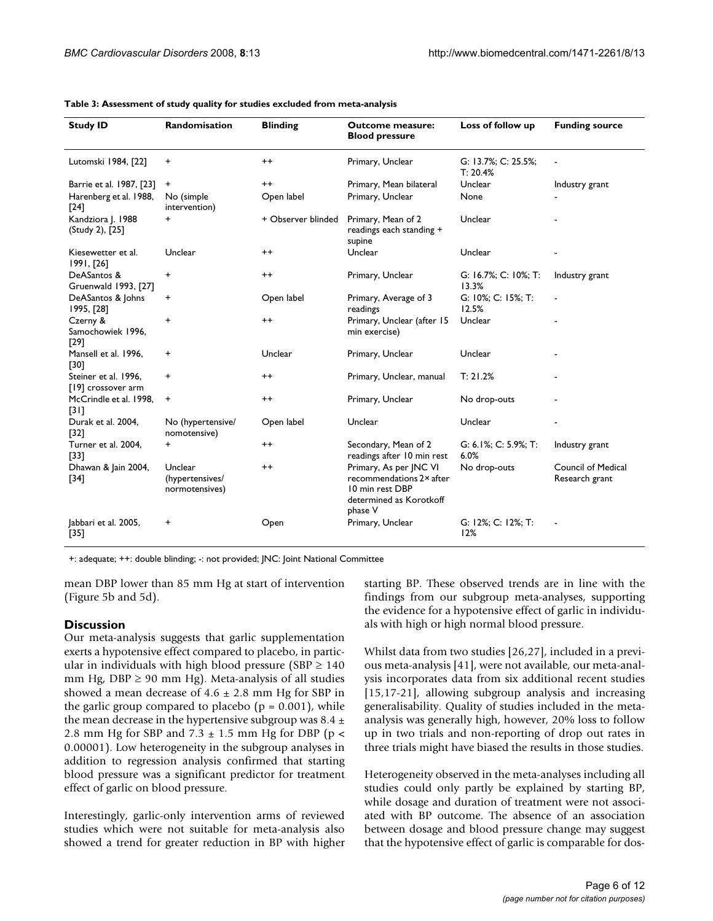| <b>Study ID</b>                            | Randomisation                                | <b>Blinding</b>    | <b>Outcome measure:</b><br><b>Blood pressure</b>                                                            | Loss of follow up               | <b>Funding source</b>                |
|--------------------------------------------|----------------------------------------------|--------------------|-------------------------------------------------------------------------------------------------------------|---------------------------------|--------------------------------------|
| Lutomski 1984, [22]                        | +                                            | $^{\mathrm{+}}$    | Primary, Unclear                                                                                            | G: 13.7%; C: 25.5%;<br>T: 20.4% |                                      |
| Barrie et al. 1987, [23]                   | $\ddot{}$                                    | $^{++}$            | Primary, Mean bilateral                                                                                     | Unclear                         | Industry grant                       |
| Harenberg et al. 1988,<br>$[24]$           | No (simple)<br>intervention)                 | Open label         | Primary, Unclear                                                                                            | None                            |                                      |
| Kandziora J. 1988<br>(Study 2), [25]       | +                                            | + Observer blinded | Primary, Mean of 2<br>readings each standing +<br>supine                                                    | Unclear                         |                                      |
| Kiesewetter et al.<br>1991, [26]           | Unclear                                      | $^{\mathrm{+}}$    | Unclear                                                                                                     | Unclear                         |                                      |
| DeASantos &<br>Gruenwald 1993, [27]        | +                                            | $^{++}$            | Primary, Unclear                                                                                            | G: 16.7%; C: 10%; T:<br>13.3%   | Industry grant                       |
| DeASantos & Johns<br>1995, [28]            | +                                            | Open label         | Primary, Average of 3<br>readings                                                                           | G: 10%; C: 15%; T:<br>12.5%     |                                      |
| Czerny &<br>Samochowiek 1996,<br>$[29]$    | +                                            | $^{++}$            | Primary, Unclear (after 15<br>min exercise)                                                                 | Unclear                         |                                      |
| Mansell et al. 1996,<br>[30]               | +                                            | Unclear            | Primary, Unclear                                                                                            | Unclear                         |                                      |
| Steiner et al. 1996,<br>[19] crossover arm | +                                            | $^{\mathrm{+}}$    | Primary, Unclear, manual                                                                                    | T: 21.2%                        |                                      |
| McCrindle et al. 1998.<br>$[31]$           | +                                            | $^{++}$            | Primary, Unclear                                                                                            | No drop-outs                    |                                      |
| Durak et al. 2004.<br>$[32]$               | No (hypertensive/<br>nomotensive)            | Open label         | Unclear                                                                                                     | Unclear                         |                                      |
| Turner et al. 2004,<br>$[33]$              | $\ddot{}$                                    | $^{++}$            | Secondary, Mean of 2<br>readings after 10 min rest                                                          | G: 6.1%; C: 5.9%; T:<br>6.0%    | Industry grant                       |
| Dhawan & Jain 2004,<br>$[34]$              | Unclear<br>(hypertensives/<br>normotensives) | $^{++}$            | Primary, As per JNC VI<br>recommendations 2x after<br>10 min rest DBP<br>determined as Korotkoff<br>phase V | No drop-outs                    | Council of Medical<br>Research grant |
| Jabbari et al. 2005,<br>$[35]$             | +                                            | Open               | Primary, Unclear                                                                                            | G: 12%; C: 12%; T:<br>12%       |                                      |

+: adequate; ++: double blinding; -: not provided; JNC: Joint National Committee

mean DBP lower than 85 mm Hg at start of intervention (Figure 5b and 5d).

# **Discussion**

Our meta-analysis suggests that garlic supplementation exerts a hypotensive effect compared to placebo, in particular in individuals with high blood pressure (SBP  $\geq$  140 mm Hg,  $DBP \geq 90$  mm Hg). Meta-analysis of all studies showed a mean decrease of  $4.6 \pm 2.8$  mm Hg for SBP in the garlic group compared to placebo ( $p = 0.001$ ), while the mean decrease in the hypertensive subgroup was 8.4  $\pm$ 2.8 mm Hg for SBP and  $7.3 \pm 1.5$  mm Hg for DBP (p < 0.00001). Low heterogeneity in the subgroup analyses in addition to regression analysis confirmed that starting blood pressure was a significant predictor for treatment effect of garlic on blood pressure.

Interestingly, garlic-only intervention arms of reviewed studies which were not suitable for meta-analysis also showed a trend for greater reduction in BP with higher

starting BP. These observed trends are in line with the findings from our subgroup meta-analyses, supporting the evidence for a hypotensive effect of garlic in individuals with high or high normal blood pressure.

Whilst data from two studies [26,27], included in a previous meta-analysis [41], were not available, our meta-analysis incorporates data from six additional recent studies [15,17-21], allowing subgroup analysis and increasing generalisability. Quality of studies included in the metaanalysis was generally high, however, 20% loss to follow up in two trials and non-reporting of drop out rates in three trials might have biased the results in those studies.

Heterogeneity observed in the meta-analyses including all studies could only partly be explained by starting BP, while dosage and duration of treatment were not associated with BP outcome. The absence of an association between dosage and blood pressure change may suggest that the hypotensive effect of garlic is comparable for dos-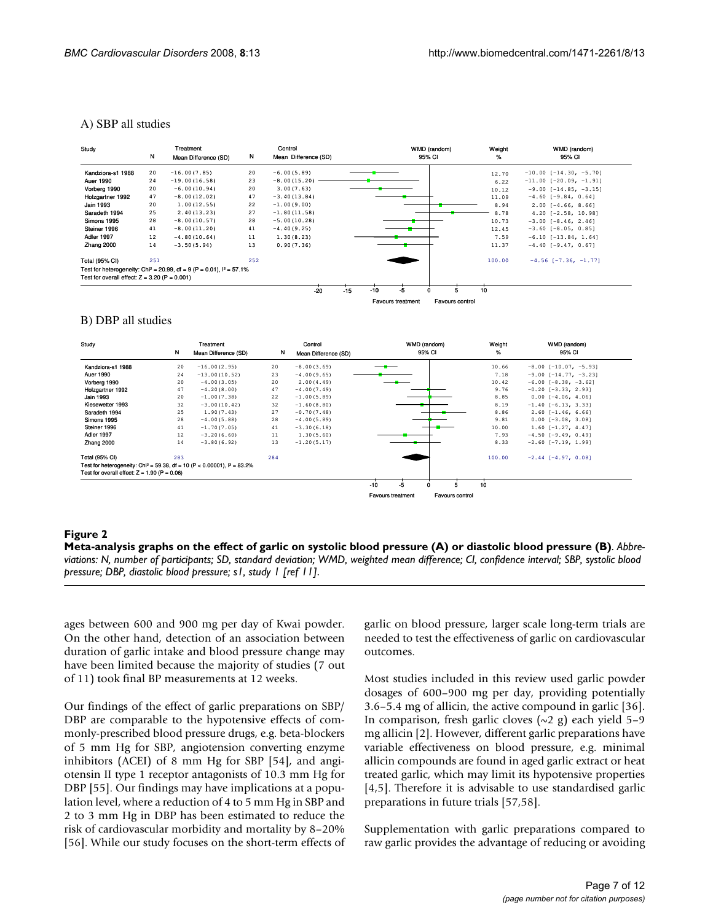#### A) SBP all studies

| Study                                           | N   | Treatment<br>Mean Difference (SD)                                                   | N   | Control<br>Mean Difference (SD) | WMD (random)<br>95% CI                      | Weight<br>℅ | WMD (random)<br>95% CI          |  |  |
|-------------------------------------------------|-----|-------------------------------------------------------------------------------------|-----|---------------------------------|---------------------------------------------|-------------|---------------------------------|--|--|
| Kandziora-s1 1988                               | 20  | $-16.00(7.85)$                                                                      | 20  | $-6.00(5.89)$                   |                                             | 12.70       | $-10.00$ [ $-14.30$ , $-5.70$ ] |  |  |
| Auer 1990                                       | 24  | $-19.00(16.58)$                                                                     | 23  | $-8.00(15.20)$                  |                                             | 6.22        | $-11.00$ [-20.09, -1.91]        |  |  |
| Vorberg 1990                                    | 20  | $-6.00(10.94)$                                                                      | 20  | 3.00(7.63)                      |                                             | 10.12       | $-9.00$ [ $-14.85$ , $-3.15$ ]  |  |  |
| Holzgartner 1992                                | 47  | $-8.00(12.02)$                                                                      | 47  | $-3.40(13.84)$                  |                                             | 11.09       | $-4.60$ [-9.84, 0.64]           |  |  |
| <b>Jain 1993</b>                                | 20  | 1.00(12.55)                                                                         | 22  | $-1.00(9.00)$                   |                                             | 8.94        | $2.00$ [-4.66, 8.66]            |  |  |
| Saradeth 1994                                   | 25  | 2.40(13.23)                                                                         | 27  | $-1.80(11.58)$                  |                                             | 8.78        | $4.20$ [-2.58, 10.98]           |  |  |
| Simons 1995                                     | 28  | $-8.00(10.57)$                                                                      | 28  | $-5.00(10.28)$                  |                                             | 10.73       | $-3.00$ [ $-8.46$ , 2.46]       |  |  |
| Steiner 1996                                    | 41  | $-8.00(11.20)$                                                                      | 41  | $-4.40(9.25)$                   |                                             | 12.45       | $-3.60$ $[-8.05, 0.85]$         |  |  |
| Adler 1997                                      | 12  | $-4.80(10.64)$                                                                      | 11  | 1.30(8.23)                      |                                             | 7.59        | $-6.10$ [ $-13.84$ , 1.64]      |  |  |
| Zhang 2000                                      | 14  | $-3.50(5.94)$                                                                       | 13  | 0.90(7.36)                      |                                             | 11.37       | $-4.40$ [-9.47, 0.67]           |  |  |
| <b>Total (95% CI)</b>                           | 251 |                                                                                     | 252 |                                 |                                             | 100.00      | $-4.56$ [-7.36, -1.77]          |  |  |
|                                                 |     | Test for heterogeneity: Chi <sup>2</sup> = 20.99, df = 9 (P = 0.01), $I^2 = 57.1\%$ |     |                                 |                                             |             |                                 |  |  |
| Test for overall effect: $Z = 3.20$ (P = 0.001) |     |                                                                                     |     |                                 |                                             |             |                                 |  |  |
|                                                 |     |                                                                                     |     | $-20$                           | -5<br>$-10$<br>$-15$                        | 10          |                                 |  |  |
|                                                 |     |                                                                                     |     |                                 | Favours control<br><b>Favours treatment</b> |             |                                 |  |  |

#### B) DBP all studies



#### **Figure 2** Meta-analysis graphs on the effect of garlic on system of garlic blood pressure (A) or diastolic blood pressure (B) or diastolic blood pressure (B) or diastolic blood pressure (B) or diastolic blood pressure (B)

**Meta-analysis graphs on the effect of garlic on systolic blood pressure (A) or diastolic blood pressure (B)**. *Abbreviations: N, number of participants; SD, standard deviation; WMD, weighted mean difference; CI, confidence interval; SBP, systolic blood pressure; DBP, diastolic blood pressure; s1, study 1 [ref 11]*.

ages between 600 and 900 mg per day of Kwai powder. On the other hand, detection of an association between duration of garlic intake and blood pressure change may have been limited because the majority of studies (7 out of 11) took final BP measurements at 12 weeks.

Our findings of the effect of garlic preparations on SBP/ DBP are comparable to the hypotensive effects of commonly-prescribed blood pressure drugs, e.g. beta-blockers of 5 mm Hg for SBP, angiotension converting enzyme inhibitors (ACEI) of 8 mm Hg for SBP [54], and angiotensin II type 1 receptor antagonists of 10.3 mm Hg for DBP [55]. Our findings may have implications at a population level, where a reduction of 4 to 5 mm Hg in SBP and 2 to 3 mm Hg in DBP has been estimated to reduce the risk of cardiovascular morbidity and mortality by 8–20% [56]. While our study focuses on the short-term effects of garlic on blood pressure, larger scale long-term trials are needed to test the effectiveness of garlic on cardiovascular outcomes.

Most studies included in this review used garlic powder dosages of 600–900 mg per day, providing potentially 3.6–5.4 mg of allicin, the active compound in garlic [36]. In comparison, fresh garlic cloves  $(\sim 2 \text{ g})$  each yield 5–9 mg allicin [2]. However, different garlic preparations have variable effectiveness on blood pressure, e.g. minimal allicin compounds are found in aged garlic extract or heat treated garlic, which may limit its hypotensive properties [4,5]. Therefore it is advisable to use standardised garlic preparations in future trials [57,58].

Supplementation with garlic preparations compared to raw garlic provides the advantage of reducing or avoiding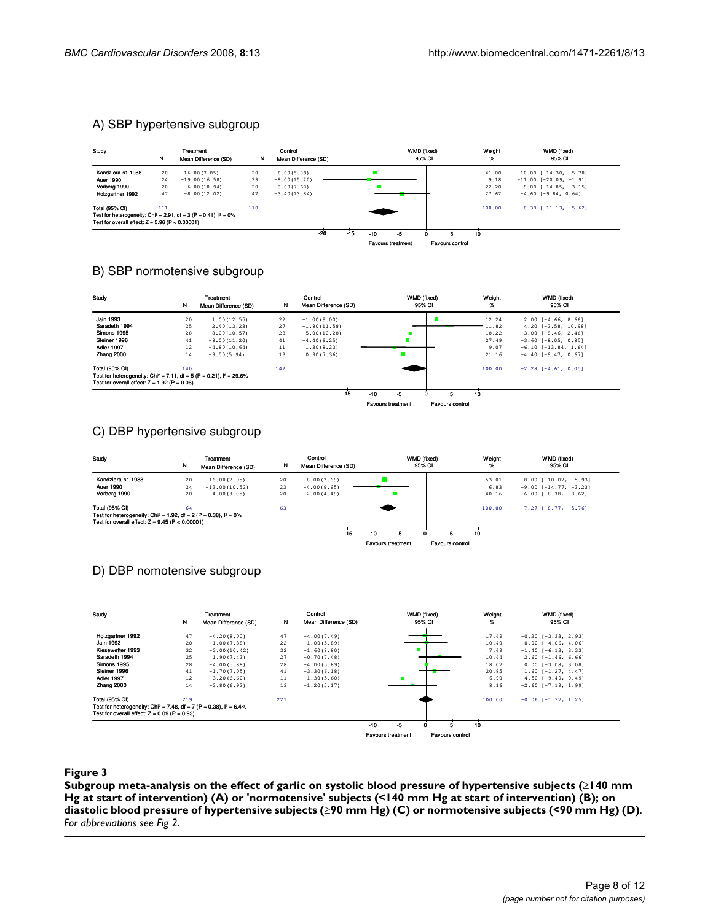# A) SBP hypertensive subgroup

| Study                                                                                                                                                              | N        | Treatment<br>Mean Difference (SD) | N        | Control<br>Mean Difference (SD) |       |       |       | WMD (fixed)<br>95% CI          |   |  |                      | Weight<br>%             | WMD (fixed)<br>95% CI                                 |
|--------------------------------------------------------------------------------------------------------------------------------------------------------------------|----------|-----------------------------------|----------|---------------------------------|-------|-------|-------|--------------------------------|---|--|----------------------|-------------------------|-------------------------------------------------------|
| Kandziora-s1 1988                                                                                                                                                  | 20       | $-16.00(7.85)$                    | 20       | $-6.00(5.89)$                   |       |       |       |                                |   |  |                      | 41.00                   | $-10.00$ $[-14.30, -5.70]$                            |
| <b>Auer 1990</b><br>Vorberg 1990                                                                                                                                   | 24<br>20 | $-19.00(16.58)$<br>$-6.00(10.94)$ | 23<br>20 | $-8.00(15.20)$<br>3.00(7.63)    |       |       |       |                                |   |  |                      | 9.18<br>22.20           | $-11.00$ $[-20.09, -1.91]$<br>$-9.00$ [-14.85, -3.15] |
| Holzgartner 1992                                                                                                                                                   | 47       | $-8.00(12.02)$                    | 47       | $-3.40(13.84)$                  |       |       |       |                                |   |  |                      | 27.62                   | $-4.60$ [-9.84, 0.64]                                 |
| <b>Total (95% CI)</b><br>111<br>Test for heterogeneity: Chi <sup>2</sup> = 2.91, df = 3 (P = 0.41), $P = 0\%$<br>Test for overall effect: $Z = 5.96$ (P < 0.00001) |          | 110                               |          |                                 |       |       |       |                                |   |  | 100.00               | $-8.38$ [-11.13, -5.62] |                                                       |
|                                                                                                                                                                    |          |                                   |          |                                 | $-20$ | $-15$ | $-10$ | -5<br><b>Favours treatment</b> | 0 |  | 5<br>Favours control | 10                      |                                                       |

# B) SBP normotensive subgroup

| Study                                                                                                       | N   | Treatment<br>Mean Difference (SD) | N   | Control<br>Mean Difference (SD) |                          | WMD (fixed)<br>95% CI | Weight<br>% | WMD (fixed)<br>95% CI    |
|-------------------------------------------------------------------------------------------------------------|-----|-----------------------------------|-----|---------------------------------|--------------------------|-----------------------|-------------|--------------------------|
| <b>Jain 1993</b>                                                                                            | 20  | 1.00(12.55)                       | 22  | $-1.00(9.00)$                   |                          |                       | 12.24       | $2.00$ [-4.66, 8.66]     |
| Saradeth 1994                                                                                               | 25  | 2.40(13.23)                       | 27  | $-1.80(11.58)$                  |                          |                       | $-11.82$    | $4.20$ $[-2.58, 10.98]$  |
| Simons 1995                                                                                                 | 28  | $-8.00(10.57)$                    | 28  | $-5.00(10.28)$                  |                          |                       | 18.22       | $-3.00$ $[-8.46, 2.46]$  |
| Steiner 1996                                                                                                | 41  | $-8.00(11.20)$                    | 41  | $-4.40(9.25)$                   |                          |                       | 27.49       | $-3.60$ $[-8.05, 0.85]$  |
| Adler 1997                                                                                                  | 12  | $-4.80(10.64)$                    | 11  | 1.30(8.23)                      |                          |                       | 9.07        | $-6.10$ $[-13.84, 1.64]$ |
| Zhang 2000                                                                                                  | 14  | $-3.50(5.94)$                     | 13  | 0.90(7.36)                      |                          |                       | 21.16       | $-4.40$ [-9.47, 0.67]    |
| <b>Total (95% CI)</b><br>Test for heterogeneity: Chi <sup>2</sup> = 7.11, df = 5 (P = 0.21), $I^2 = 29.6\%$ | 140 |                                   | 142 |                                 |                          |                       | 100.00      | $-2.28$ $[-4.61, 0.05]$  |
| Test for overall effect: $Z = 1.92$ (P = 0.06)                                                              |     |                                   |     |                                 |                          |                       |             |                          |
|                                                                                                             |     |                                   |     | $-15$                           | $-10$<br>-5              |                       | 10          |                          |
|                                                                                                             |     |                                   |     |                                 | <b>Favours treatment</b> | Favours control       |             |                          |

# C) DBP hypertensive subgroup

| Study                                                                           | N  | Treatment<br>Mean Difference (SD) | N  | Control<br>Mean Difference (SD) |                          |    | WMD (fixed)<br>95% CI | Weight<br>% | WMD (fixed)<br>95% CI          |
|---------------------------------------------------------------------------------|----|-----------------------------------|----|---------------------------------|--------------------------|----|-----------------------|-------------|--------------------------------|
| Kandziora-s1 1988                                                               | 20 | $-16.00(2.95)$                    | 20 | $-8.00(3.69)$                   |                          |    |                       | 53.01       | $-8.00$ [ $-10.07$ , $-5.93$ ] |
| <b>Auer 1990</b>                                                                | 24 | $-13.00(10.52)$                   | 23 | $-4.00(9.65)$                   |                          |    |                       | 6.83        | $-9.00$ [ $-14.77$ , $-3.23$ ] |
| Vorberg 1990                                                                    | 20 | $-4.00(3.05)$                     | 20 | 2.00(4.49)                      |                          |    |                       | 40.16       | $-6.00$ $[-8.38, -3.62]$       |
| <b>Total (95% CI)</b>                                                           | 64 |                                   | 63 |                                 |                          |    |                       | 100.00      | $-7.27$ [-8.77, -5.76]         |
| Test for heterogeneity: Chi <sup>2</sup> = 1.92, df = 2 (P = 0.38), $I^2 = 0\%$ |    |                                   |    |                                 |                          |    |                       |             |                                |
| Test for overall effect: $Z = 9.45$ (P < 0.00001)                               |    |                                   |    |                                 |                          |    |                       |             |                                |
|                                                                                 |    |                                   |    | $-15$                           | $-10$                    | -5 |                       | 10          |                                |
|                                                                                 |    |                                   |    |                                 | <b>Favours treatment</b> |    | Favours control       |             |                                |

# D) DBP nomotensive subgroup

| Study                                                                                                                               | N   | Treatment<br>Mean Difference (SD) | N   | Control<br>Mean Difference (SD) |                          |    | WMD (fixed)<br>95% CI  | Weight<br>% | WMD (fixed)<br>95% CI     |
|-------------------------------------------------------------------------------------------------------------------------------------|-----|-----------------------------------|-----|---------------------------------|--------------------------|----|------------------------|-------------|---------------------------|
| Holzgartner 1992                                                                                                                    | 47  | $-4.20(8.00)$                     | 47  | $-4.00(7.49)$                   |                          |    |                        | 17.49       | $-0.20$ [ $-3.33$ , 2.93] |
| <b>Jain 1993</b>                                                                                                                    | 20  | $-1.00(7.38)$                     | 22  | $-1.00(5.89)$                   |                          |    |                        | 10.40       | $0.00$ $[-4.06, 4.06]$    |
| Kiesewetter 1993                                                                                                                    | 32  | $-3.00(10.42)$                    | 32  | $-1.60(8.80)$                   |                          |    |                        | 7.69        | $-1.40$ $[-6.13, 3.33]$   |
| Saradeth 1994                                                                                                                       | 25  | 1.90(7.43)                        | 27  | $-0.70(7.48)$                   |                          |    |                        | 10.44       | $2.60$ [-1.46, 6.66]      |
| Simons 1995                                                                                                                         | 28  | $-4.00(5.88)$                     | 28  | $-4.00(5.89)$                   |                          |    |                        | 18.07       | $0.00$ [-3.08, 3.08]      |
| Steiner 1996                                                                                                                        | 41  | $-1.70(7.05)$                     | 41  | $-3.30(6.18)$                   |                          |    |                        | 20.85       | $1.60$ $[-1.27, 4.47]$    |
| Adler 1997                                                                                                                          | 12  | $-3,20(6,60)$                     | 11  | 1.30(5.60)                      |                          |    |                        | 6.90        | $-4.50$ $[-9.49, 0.49]$   |
| Zhang 2000                                                                                                                          | 14  | $-3.80(6.92)$                     | 13  | $-1.20(5.17)$                   |                          |    |                        | 8.16        | $-2.60$ $[-7.19, 1.99]$   |
| Total (95% CI)                                                                                                                      | 219 |                                   | 221 |                                 |                          |    |                        | 100.00      | $-0.06$ [ $-1.37$ , 1.25] |
| Test for heterogeneity: Chi <sup>2</sup> = 7.48, df = 7 (P = 0.38), $I^2 = 6.4\%$<br>Test for overall effect: $Z = 0.09$ (P = 0.93) |     |                                   |     |                                 |                          |    |                        |             |                           |
|                                                                                                                                     |     |                                   |     |                                 | $-10$                    | -5 |                        | 10          |                           |
|                                                                                                                                     |     |                                   |     |                                 | <b>Favours treatment</b> |    | <b>Favours control</b> |             |                           |

# **Figure 3** Products and the contract of the contract of the contract of the contract of the contract of the contract of the contract of the contract of the contract of the contract of the contract of the contract of the co

**Subgroup meta-analysis on the effect of garlic on systolic blood pressure of hypertensive subjects (**≥**140 mm Hg at start of intervention) (A) or 'normotensive' subjects (<140 mm Hg at start of intervention) (B); on diastolic blood pressure of hypertensive subjects (**≥**90 mm Hg) (C) or normotensive subjects (<90 mm Hg) (D)**. *For abbreviations see Fig 2*.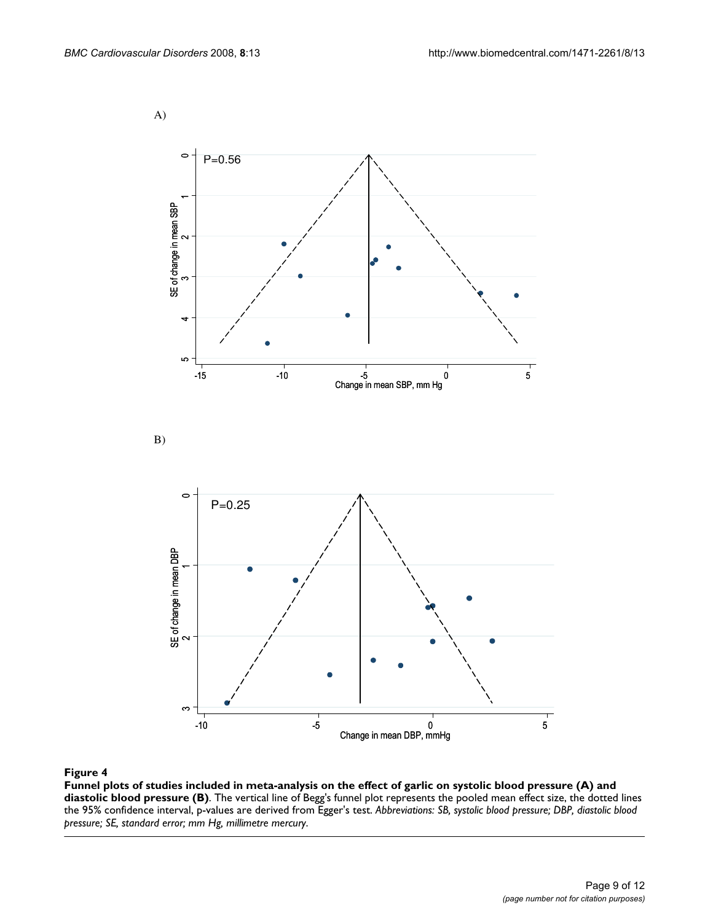A)



# sure (B) **Figure 4** Funnel plots of studies included in meta-analysis on the effect of garlic on systolic blood pressure (A) and diastolic blood pres-

**Funnel plots of studies included in meta-analysis on the effect of garlic on systolic blood pressure (A) and diastolic blood pressure (B)**. The vertical line of Begg's funnel plot represents the pooled mean effect size, the dotted lines the 95% confidence interval, p-values are derived from Egger's test. *Abbreviations: SB, systolic blood pressure; DBP, diastolic blood pressure; SE, standard error; mm Hg, millimetre mercury*.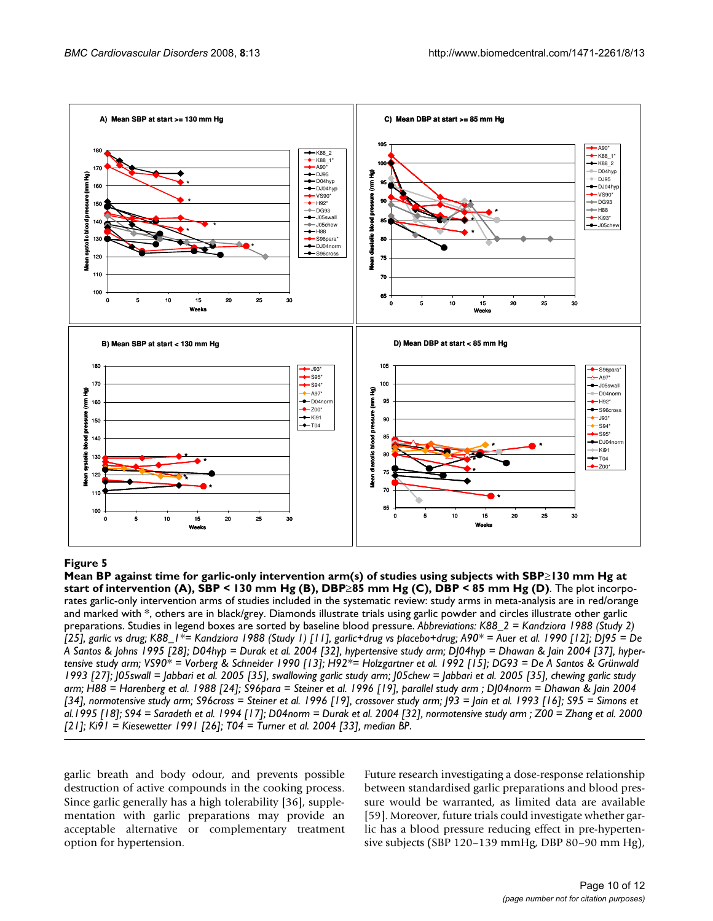

**Figure 5**  $\overline{\phantom{a}}$  and  $\overline{\phantom{a}}$  are 85 mm Hg (D) studies using subjects with SBP≥130 mm Hg at studies using subjects with SBP≥130 mm Hg at start of intervention arm Hg at start of intervention arm Hg at start of in **Mean BP against time for garlic-only intervention arm(s) of studies using subjects with SBP**≥**130 mm Hg at start of intervention (A), SBP < 130 mm Hg (B), DBP**≥**85 mm Hg (C), DBP < 85 mm Hg (D)**. The plot incorporates garlic-only intervention arms of studies included in the systematic review: study arms in meta-analysis are in red/orange and marked with \*, others are in black/grey. Diamonds illustrate trials using garlic powder and circles illustrate other garlic preparations. Studies in legend boxes are sorted by baseline blood pressure. *Abbreviations: K88\_2 = Kandziora 1988 (Study 2) [25], garlic vs drug; K88\_1\*= Kandziora 1988 (Study 1) [11], garlic+drug vs placebo+drug; A90\* = Auer et al. 1990 [12]; DJ95 = De A Santos & Johns 1995 [28]; D04hyp = Durak et al. 2004 [32], hypertensive study arm; DJ04hyp = Dhawan & Jain 2004 [37], hypertensive study arm; VS90\* = Vorberg & Schneider 1990 [13]; H92\*= Holzgartner et al. 1992 [15]; DG93 = De A Santos & Grünwald 1993 [27]; J05swall = Jabbari et al. 2005 [35], swallowing garlic study arm; J05chew = Jabbari et al. 2005 [35], chewing garlic study arm; H88 = Harenberg et al. 1988 [24]; S96para = Steiner et al. 1996 [19], parallel study arm ; DJ04norm = Dhawan & Jain 2004 [34], normotensive study arm; S96cross = Steiner et al. 1996 [19], crossover study arm; J93 = Jain et al. 1993 [16]; S95 = Simons et al.1995 [18]; S94 = Saradeth et al. 1994 [17]; D04norm = Durak et al. 2004 [32], normotensive study arm ; Z00 = Zhang et al. 2000 [21]; Ki91 = Kiesewetter 1991 [26]; T04 = Turner et al. 2004 [33], median BP*.

garlic breath and body odour, and prevents possible destruction of active compounds in the cooking process. Since garlic generally has a high tolerability [36], supplementation with garlic preparations may provide an acceptable alternative or complementary treatment option for hypertension.

Future research investigating a dose-response relationship between standardised garlic preparations and blood pressure would be warranted, as limited data are available [59]. Moreover, future trials could investigate whether garlic has a blood pressure reducing effect in pre-hypertensive subjects (SBP 120–139 mmHg, DBP 80–90 mm Hg),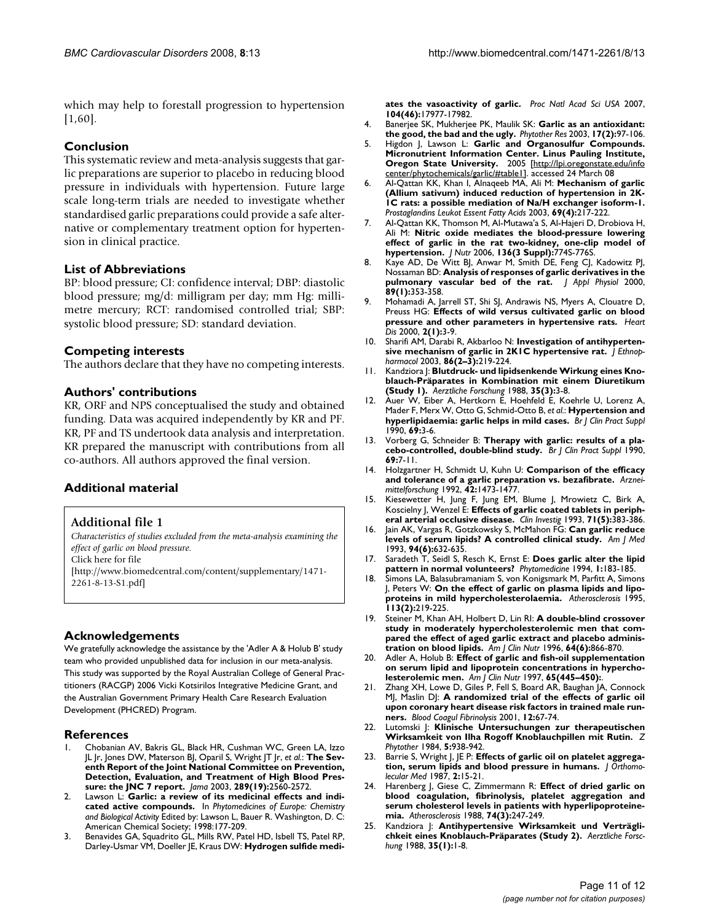which may help to forestall progression to hypertension [1,60].

# **Conclusion**

This systematic review and meta-analysis suggests that garlic preparations are superior to placebo in reducing blood pressure in individuals with hypertension. Future large scale long-term trials are needed to investigate whether standardised garlic preparations could provide a safe alternative or complementary treatment option for hypertension in clinical practice.

# **List of Abbreviations**

BP: blood pressure; CI: confidence interval; DBP: diastolic blood pressure; mg/d: milligram per day; mm Hg: millimetre mercury; RCT: randomised controlled trial; SBP: systolic blood pressure; SD: standard deviation.

# **Competing interests**

The authors declare that they have no competing interests.

# **Authors' contributions**

KR, ORF and NPS conceptualised the study and obtained funding. Data was acquired independently by KR and PF. KR, PF and TS undertook data analysis and interpretation. KR prepared the manuscript with contributions from all co-authors. All authors approved the final version.

# **Additional material**

# **Additional file 1**

*Characteristics of studies excluded from the meta-analysis examining the effect of garlic on blood pressure.*

Click here for file

[\[http://www.biomedcentral.com/content/supplementary/1471-](http://www.biomedcentral.com/content/supplementary/1471-2261-8-13-S1.pdf) 2261-8-13-S1.pdf]

# **Acknowledgements**

We gratefully acknowledge the assistance by the 'Adler A & Holub B' study team who provided unpublished data for inclusion in our meta-analysis. This study was supported by the Royal Australian College of General Practitioners (RACGP) 2006 Vicki Kotsirilos Integrative Medicine Grant, and the Australian Government Primary Health Care Research Evaluation Development (PHCRED) Program.

#### **References**

- 1. Chobanian AV, Bakris GL, Black HR, Cushman WC, Green LA, Izzo JL Jr, Jones DW, Materson BJ, Oparil S, Wright JT Jr, *et al.*: **[The Sev](http://www.ncbi.nlm.nih.gov/entrez/query.fcgi?cmd=Retrieve&db=PubMed&dopt=Abstract&list_uids=12748199)enth Report of the Joint National Committee on Prevention, [Detection, Evaluation, and Treatment of High Blood Pres](http://www.ncbi.nlm.nih.gov/entrez/query.fcgi?cmd=Retrieve&db=PubMed&dopt=Abstract&list_uids=12748199)[sure: the JNC 7 report.](http://www.ncbi.nlm.nih.gov/entrez/query.fcgi?cmd=Retrieve&db=PubMed&dopt=Abstract&list_uids=12748199)** *Jama* 2003, **289(19):**2560-2572.
- 2. Lawson L: **Garlic: a review of its medicinal effects and indicated active compounds.** In *Phytomedicines of Europe: Chemistry and Biological Activity* Edited by: Lawson L, Bauer R. Washington, D. C: American Chemical Society; 1998:177-209.
- 3. Benavides GA, Squadrito GL, Mills RW, Patel HD, Isbell TS, Patel RP, Darley-Usmar VM, Doeller JE, Kraus DW: **[Hydrogen sulfide medi-](http://www.ncbi.nlm.nih.gov/entrez/query.fcgi?cmd=Retrieve&db=PubMed&dopt=Abstract&list_uids=17951430)**

**[ates the vasoactivity of garlic.](http://www.ncbi.nlm.nih.gov/entrez/query.fcgi?cmd=Retrieve&db=PubMed&dopt=Abstract&list_uids=17951430)** *Proc Natl Acad Sci USA* 2007, **104(46):**17977-17982.

- 4. Banerjee SK, Mukherjee PK, Maulik SK: **[Garlic as an antioxidant:](http://www.ncbi.nlm.nih.gov/entrez/query.fcgi?cmd=Retrieve&db=PubMed&dopt=Abstract&list_uids=12601669) [the good, the bad and the ugly.](http://www.ncbi.nlm.nih.gov/entrez/query.fcgi?cmd=Retrieve&db=PubMed&dopt=Abstract&list_uids=12601669)** *Phytother Res* 2003, **17(2):**97-106.
- 5. Higdon J, Lawson L: **Garlic and Organosulfur Compounds. Micronutrient Information Center. Linus Pauling Institute, Oregon State University.** 2005 [\[http://lpi.oregonstate.edu/info](http://lpi.oregonstate.edu/infocenter/phytochemicals/garlic/#table1) [center/phytochemicals/garlic/#table1\]](http://lpi.oregonstate.edu/infocenter/phytochemicals/garlic/#table1). accessed 24 March 08
- 6. Al-Qattan KK, Khan I, Alnaqeeb MA, Ali M: **[Mechanism of garlic](http://www.ncbi.nlm.nih.gov/entrez/query.fcgi?cmd=Retrieve&db=PubMed&dopt=Abstract&list_uids=12907130) (Allium sativum) induced reduction of hypertension in 2K-[1C rats: a possible mediation of Na/H exchanger isoform-1.](http://www.ncbi.nlm.nih.gov/entrez/query.fcgi?cmd=Retrieve&db=PubMed&dopt=Abstract&list_uids=12907130)** *Prostaglandins Leukot Essent Fatty Acids* 2003, **69(4):**217-222.
- 7. Al-Qattan KK, Thomson M, Al-Mutawa'a S, Al-Hajeri D, Drobiova H, Ali M: **[Nitric oxide mediates the blood-pressure lowering](http://www.ncbi.nlm.nih.gov/entrez/query.fcgi?cmd=Retrieve&db=PubMed&dopt=Abstract&list_uids=16484561) [effect of garlic in the rat two-kidney, one-clip model of](http://www.ncbi.nlm.nih.gov/entrez/query.fcgi?cmd=Retrieve&db=PubMed&dopt=Abstract&list_uids=16484561) [hypertension.](http://www.ncbi.nlm.nih.gov/entrez/query.fcgi?cmd=Retrieve&db=PubMed&dopt=Abstract&list_uids=16484561)** *J Nutr* 2006, **136(3 Suppl):**774S-776S.
- 8. Kaye AD, De Witt BJ, Anwar M, Smith DE, Feng CJ, Kadowitz PJ, Nossaman BD: **[Analysis of responses of garlic derivatives in the](http://www.ncbi.nlm.nih.gov/entrez/query.fcgi?cmd=Retrieve&db=PubMed&dopt=Abstract&list_uids=10904071) [pulmonary vascular bed of the rat.](http://www.ncbi.nlm.nih.gov/entrez/query.fcgi?cmd=Retrieve&db=PubMed&dopt=Abstract&list_uids=10904071)** *J Appl Physiol* 2000, **89(1):**353-358.
- 9. Mohamadi A, Jarrell ST, Shi SJ, Andrawis NS, Myers A, Clouatre D, Preuss HG: **[Effects of wild versus cultivated garlic on blood](http://www.ncbi.nlm.nih.gov/entrez/query.fcgi?cmd=Retrieve&db=PubMed&dopt=Abstract&list_uids=11728237) [pressure and other parameters in hypertensive rats.](http://www.ncbi.nlm.nih.gov/entrez/query.fcgi?cmd=Retrieve&db=PubMed&dopt=Abstract&list_uids=11728237)** *Heart Dis* 2000, **2(1):**3-9.
- 10. Sharifi AM, Darabi R, Akbarloo N: **[Investigation of antihyperten](http://www.ncbi.nlm.nih.gov/entrez/query.fcgi?cmd=Retrieve&db=PubMed&dopt=Abstract&list_uids=12738090)[sive mechanism of garlic in 2K1C hypertensive rat.](http://www.ncbi.nlm.nih.gov/entrez/query.fcgi?cmd=Retrieve&db=PubMed&dopt=Abstract&list_uids=12738090)** *J Ethnopharmacol* 2003, **86(2–3):**219-224.
- 11. Kandziora J: **Blutdruck- und lipidsenkende Wirkung eines Knoblauch-Präparates in Kombination mit einem Diuretikum (Study 1).** *Aerztliche Forschung* 1988, **35(3):**3-8.
- 12. Auer W, Eiber A, Hertkorn E, Hoehfeld E, Koehrle U, Lorenz A, Mader F, Merx W, Otto G, Schmid-Otto B, *et al.*: **[Hypertension and](http://www.ncbi.nlm.nih.gov/entrez/query.fcgi?cmd=Retrieve&db=PubMed&dopt=Abstract&list_uids=2083170) [hyperlipidaemia: garlic helps in mild cases.](http://www.ncbi.nlm.nih.gov/entrez/query.fcgi?cmd=Retrieve&db=PubMed&dopt=Abstract&list_uids=2083170)** *Br J Clin Pract Suppl* 1990, **69:**3-6.
- 13. Vorberg G, Schneider B: **[Therapy with garlic: results of a pla](http://www.ncbi.nlm.nih.gov/entrez/query.fcgi?cmd=Retrieve&db=PubMed&dopt=Abstract&list_uids=2083173)[cebo-controlled, double-blind study.](http://www.ncbi.nlm.nih.gov/entrez/query.fcgi?cmd=Retrieve&db=PubMed&dopt=Abstract&list_uids=2083173)** *Br J Clin Pract Suppl* 1990, **69:**7-11.
- 14. Holzgartner H, Schmidt U, Kuhn U: **[Comparison of the efficacy](http://www.ncbi.nlm.nih.gov/entrez/query.fcgi?cmd=Retrieve&db=PubMed&dopt=Abstract&list_uids=1288512) [and tolerance of a garlic preparation vs. bezafibrate.](http://www.ncbi.nlm.nih.gov/entrez/query.fcgi?cmd=Retrieve&db=PubMed&dopt=Abstract&list_uids=1288512)** *Arzneimittelforschung* 1992, **42:**1473-1477.
- Kiesewetter H, Jung F, Jung EM, Blume J, Mrowietz C, Birk A, Koscielny J, Wenzel E: **[Effects of garlic coated tablets in periph](http://www.ncbi.nlm.nih.gov/entrez/query.fcgi?cmd=Retrieve&db=PubMed&dopt=Abstract&list_uids=8508009)[eral arterial occlusive disease.](http://www.ncbi.nlm.nih.gov/entrez/query.fcgi?cmd=Retrieve&db=PubMed&dopt=Abstract&list_uids=8508009)** *Clin Investig* 1993, **71(5):**383-386.
- 16. Jain AK, Vargas R, Gotzkowsky S, McMahon FG: **[Can garlic reduce](http://www.ncbi.nlm.nih.gov/entrez/query.fcgi?cmd=Retrieve&db=PubMed&dopt=Abstract&list_uids=8506890) [levels of serum lipids? A controlled clinical study.](http://www.ncbi.nlm.nih.gov/entrez/query.fcgi?cmd=Retrieve&db=PubMed&dopt=Abstract&list_uids=8506890)** *Am J Med* 1993, **94(6):**632-635.
- 17. Saradeth T, Seidl S, Resch K, Ernst E: **Does garlic alter the lipid pattern in normal volunteers?** *Phytomedicine* 1994, **1:**183-185.
- 18. Simons LA, Balasubramaniam S, von Konigsmark M, Parfitt A, Simons J, Peters W: **[On the effect of garlic on plasma lipids and lipo](http://www.ncbi.nlm.nih.gov/entrez/query.fcgi?cmd=Retrieve&db=PubMed&dopt=Abstract&list_uids=7605361)[proteins in mild hypercholesterolaemia.](http://www.ncbi.nlm.nih.gov/entrez/query.fcgi?cmd=Retrieve&db=PubMed&dopt=Abstract&list_uids=7605361)** *Atherosclerosis* 1995, **113(2):**219-225.
- 19. Steiner M, Khan AH, Holbert D, Lin RI: **[A double-blind crossover](http://www.ncbi.nlm.nih.gov/entrez/query.fcgi?cmd=Retrieve&db=PubMed&dopt=Abstract&list_uids=8942410) [study in moderately hypercholesterolemic men that com](http://www.ncbi.nlm.nih.gov/entrez/query.fcgi?cmd=Retrieve&db=PubMed&dopt=Abstract&list_uids=8942410)pared the effect of aged garlic extract and placebo adminis[tration on blood lipids.](http://www.ncbi.nlm.nih.gov/entrez/query.fcgi?cmd=Retrieve&db=PubMed&dopt=Abstract&list_uids=8942410)** *Am J Clin Nutr* 1996, **64(6):**866-870.
- 20. Adler A, Holub B: **[Effect of garlic and fish-oil supplementation](http://www.ncbi.nlm.nih.gov/entrez/query.fcgi?cmd=Retrieve&db=PubMed&dopt=Abstract&list_uids=9022529) [on serum lipid and lipoprotein concentrations in hypercho](http://www.ncbi.nlm.nih.gov/entrez/query.fcgi?cmd=Retrieve&db=PubMed&dopt=Abstract&list_uids=9022529)[lesterolemic men.](http://www.ncbi.nlm.nih.gov/entrez/query.fcgi?cmd=Retrieve&db=PubMed&dopt=Abstract&list_uids=9022529)** *Am J Clin Nutr* 1997, **65(445–450):**.
- 21. Zhang XH, Lowe D, Giles P, Fell S, Board AR, Baughan JA, Connock MJ, Maslin DJ: **[A randomized trial of the effects of garlic oil](http://www.ncbi.nlm.nih.gov/entrez/query.fcgi?cmd=Retrieve&db=PubMed&dopt=Abstract&list_uids=11229829) [upon coronary heart disease risk factors in trained male run](http://www.ncbi.nlm.nih.gov/entrez/query.fcgi?cmd=Retrieve&db=PubMed&dopt=Abstract&list_uids=11229829)[ners.](http://www.ncbi.nlm.nih.gov/entrez/query.fcgi?cmd=Retrieve&db=PubMed&dopt=Abstract&list_uids=11229829)** *Blood Coagul Fibrinolysis* 2001, **12:**67-74.
- 22. Lutomski J: **Klinische Untersuchungen zur therapeutischen Wirksamkeit von Ilha Rogoff Knoblauchpillen mit Rutin.** *Z Phytother* 1984, **5:**938-942.
- 23. Barrie S, Wright J, JE P: **Effects of garlic oil on platelet aggregation, serum lipids and blood pressure in humans.** *J Orthomolecular Med* 1987, **2:**15-21.
- 24. Harenberg J, Giese C, Zimmermann R: **[Effect of dried garlic on](http://www.ncbi.nlm.nih.gov/entrez/query.fcgi?cmd=Retrieve&db=PubMed&dopt=Abstract&list_uids=3240334) blood coagulation, fibrinolysis, platelet aggregation and [serum cholesterol levels in patients with hyperlipoproteine](http://www.ncbi.nlm.nih.gov/entrez/query.fcgi?cmd=Retrieve&db=PubMed&dopt=Abstract&list_uids=3240334)[mia.](http://www.ncbi.nlm.nih.gov/entrez/query.fcgi?cmd=Retrieve&db=PubMed&dopt=Abstract&list_uids=3240334)** *Atherosclerosis* 1988, **74(3):**247-249.
- Kandziora |: Antihypertensive Wirksamkeit und Verträgli**chkeit eines Knoblauch-Präparates (Study 2).** *Aerztliche Forschung* 1988, **35(1):**1-8.